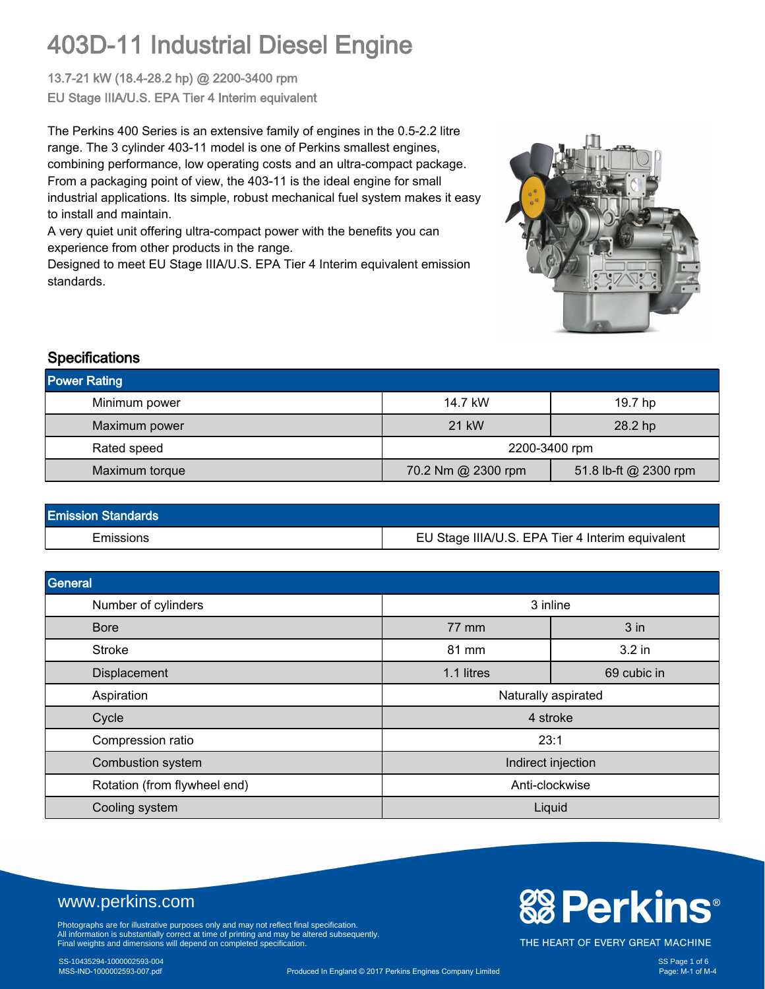13.7-21 kW (18.4-28.2 hp) @ 2200-3400 rpm EU Stage IIIA/U.S. EPA Tier 4 Interim equivalent

The Perkins 400 Series is an extensive family of engines in the 0.5-2.2 litre range. The 3 cylinder 403-11 model is one of Perkins smallest engines, combining performance, low operating costs and an ultra-compact package. From a packaging point of view, the 403-11 is the ideal engine for small industrial applications. Its simple, robust mechanical fuel system makes it easy to install and maintain.

A very quiet unit offering ultra-compact power with the benefits you can experience from other products in the range.

Designed to meet EU Stage IIIA/U.S. EPA Tier 4 Interim equivalent emission standards.



#### **Specifications**

| <b>Power Rating</b> |                                             |         |  |
|---------------------|---------------------------------------------|---------|--|
| Minimum power       | 14.7 kW                                     | 19.7 hp |  |
| Maximum power       | 21 kW                                       | 28.2 hp |  |
| Rated speed         | 2200-3400 rpm                               |         |  |
| Maximum torque      | 70.2 Nm @ 2300 rpm<br>51.8 lb-ft @ 2300 rpm |         |  |

| <b>Emission Standards</b> |                                                  |
|---------------------------|--------------------------------------------------|
| Emissions                 | EU Stage IIIA/U.S. EPA Tier 4 Interim equivalent |

| General                      |                     |             |  |
|------------------------------|---------------------|-------------|--|
| Number of cylinders          | 3 inline            |             |  |
| <b>Bore</b>                  | 77 mm               | 3 in        |  |
| <b>Stroke</b>                | 81 mm               | 3.2 in      |  |
| Displacement                 | 1.1 litres          | 69 cubic in |  |
| Aspiration                   | Naturally aspirated |             |  |
| Cycle                        | 4 stroke            |             |  |
| Compression ratio            | 23:1                |             |  |
| Combustion system            | Indirect injection  |             |  |
| Rotation (from flywheel end) | Anti-clockwise      |             |  |
| Cooling system               | Liquid              |             |  |

### www.perkins.com

Photographs are for illustrative purposes only and may not reflect final specification.<br>All information is substantially correct at time of printing and may be altered subsequently.<br>Final weights and dimensions will depend

## SS-10435294-1000002593-004 SS Page 1 of 6

# **& Perkins®**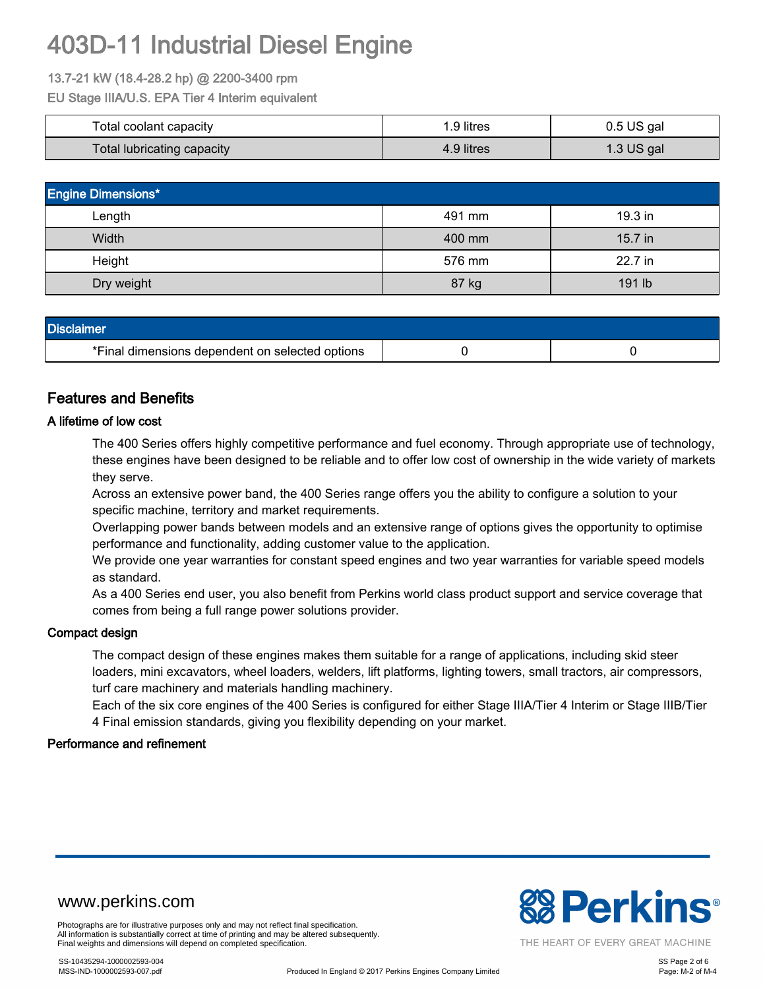#### 13.7-21 kW (18.4-28.2 hp) @ 2200-3400 rpm

EU Stage IIIA/U.S. EPA Tier 4 Interim equivalent

| Total coolant capacity     | .9 litres  | $0.5$ US gal |  |
|----------------------------|------------|--------------|--|
| Total lubricating capacity | 4.9 litres | 1.3 US gal   |  |

| <b>Engine Dimensions*</b> |        |           |  |  |
|---------------------------|--------|-----------|--|--|
| Length                    | 491 mm | 19.3 in   |  |  |
| Width                     | 400 mm | $15.7$ in |  |  |
| Height                    | 576 mm | 22.7 in   |  |  |
| Dry weight                | 87 kg  | 191 lb    |  |  |

| <b>Disclaimer</b>                               |  |  |  |  |
|-------------------------------------------------|--|--|--|--|
| *Final dimensions dependent on selected options |  |  |  |  |

#### Features and Benefits

#### A lifetime of low cost

The 400 Series offers highly competitive performance and fuel economy. Through appropriate use of technology, these engines have been designed to be reliable and to offer low cost of ownership in the wide variety of markets they serve.

Across an extensive power band, the 400 Series range offers you the ability to configure a solution to your specific machine, territory and market requirements.

Overlapping power bands between models and an extensive range of options gives the opportunity to optimise performance and functionality, adding customer value to the application.

We provide one year warranties for constant speed engines and two year warranties for variable speed models as standard.

As a 400 Series end user, you also benefit from Perkins world class product support and service coverage that comes from being a full range power solutions provider.

#### Compact design

The compact design of these engines makes them suitable for a range of applications, including skid steer loaders, mini excavators, wheel loaders, welders, lift platforms, lighting towers, small tractors, air compressors, turf care machinery and materials handling machinery.

Each of the six core engines of the 400 Series is configured for either Stage IIIA/Tier 4 Interim or Stage IIIB/Tier 4 Final emission standards, giving you flexibility depending on your market.

#### Performance and refinement



Photographs are for illustrative purposes only and may not reflect final specification. All information is substantially correct at time of printing and may be altered subsequently. Final weights and dimensions will depend on completed specification.

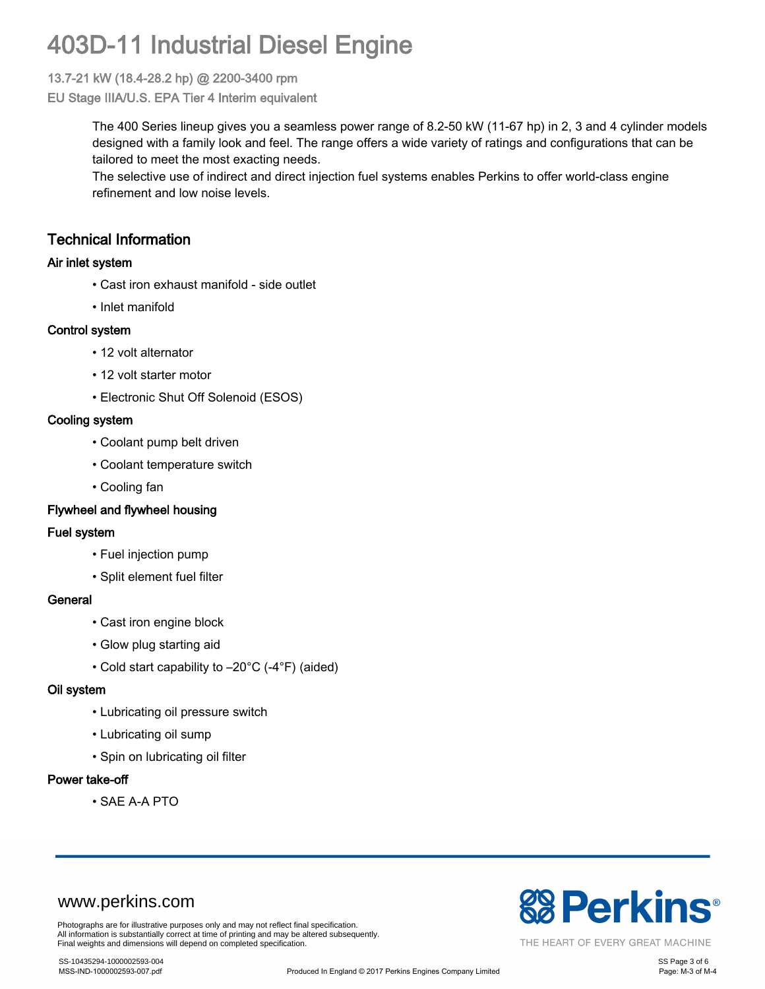#### 13.7-21 kW (18.4-28.2 hp) @ 2200-3400 rpm

EU Stage IIIA/U.S. EPA Tier 4 Interim equivalent

The 400 Series lineup gives you a seamless power range of 8.2-50 kW (11-67 hp) in 2, 3 and 4 cylinder models designed with a family look and feel. The range offers a wide variety of ratings and configurations that can be tailored to meet the most exacting needs.

The selective use of indirect and direct injection fuel systems enables Perkins to offer world-class engine refinement and low noise levels.

### Technical Information

#### Air inlet system

- Cast iron exhaust manifold side outlet
- Inlet manifold

#### Control system

- 12 volt alternator
- 12 volt starter motor
- Electronic Shut Off Solenoid (ESOS)

#### Cooling system

- Coolant pump belt driven
- Coolant temperature switch
- Cooling fan

#### Flywheel and flywheel housing

#### Fuel system

- Fuel injection pump
- Split element fuel filter

#### **General**

- Cast iron engine block
- Glow plug starting aid
- Cold start capability to –20°C (-4°F) (aided)

#### Oil system

- Lubricating oil pressure switch
- Lubricating oil sump
- Spin on lubricating oil filter

#### Power take-off

• SAE A-A PTO

### www.perkins.com

Photographs are for illustrative purposes only and may not reflect final specification. All information is substantially correct at time of printing and may be altered subsequently. Final weights and dimensions will depend on completed specification.



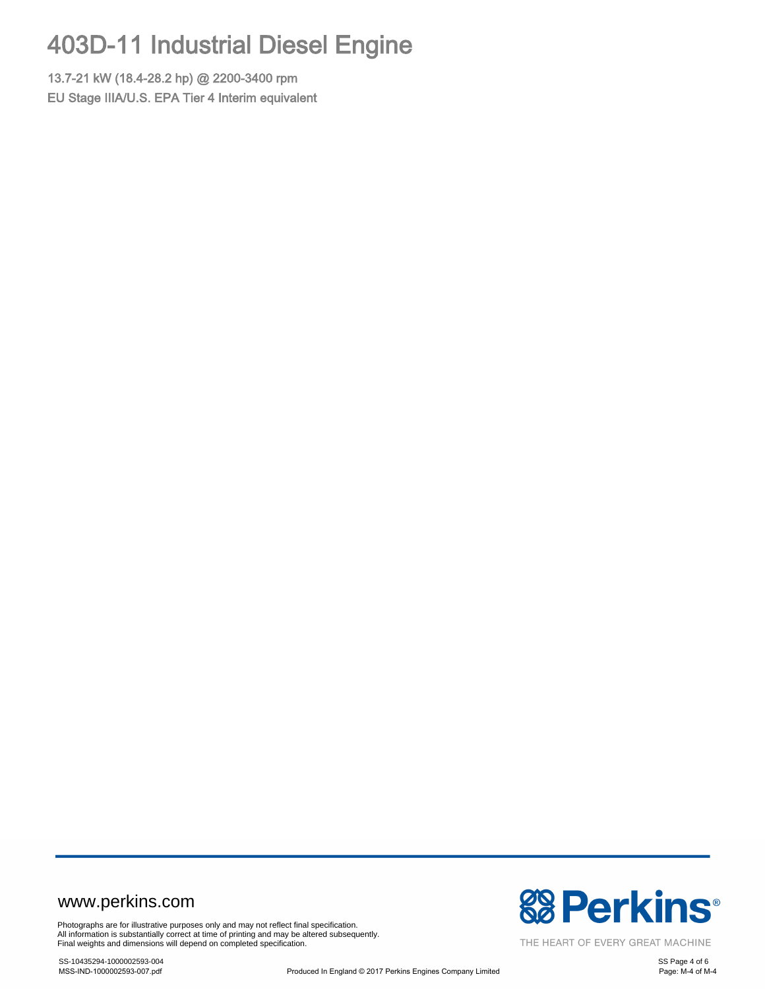13.7-21 kW (18.4-28.2 hp) @ 2200-3400 rpm EU Stage IIIA/U.S. EPA Tier 4 Interim equivalent

### www.perkins.com

Photographs are for illustrative purposes only and may not reflect final specification.<br>All information is substantially correct at time of printing and may be altered subsequently.<br>Final weights and dimensions will depend

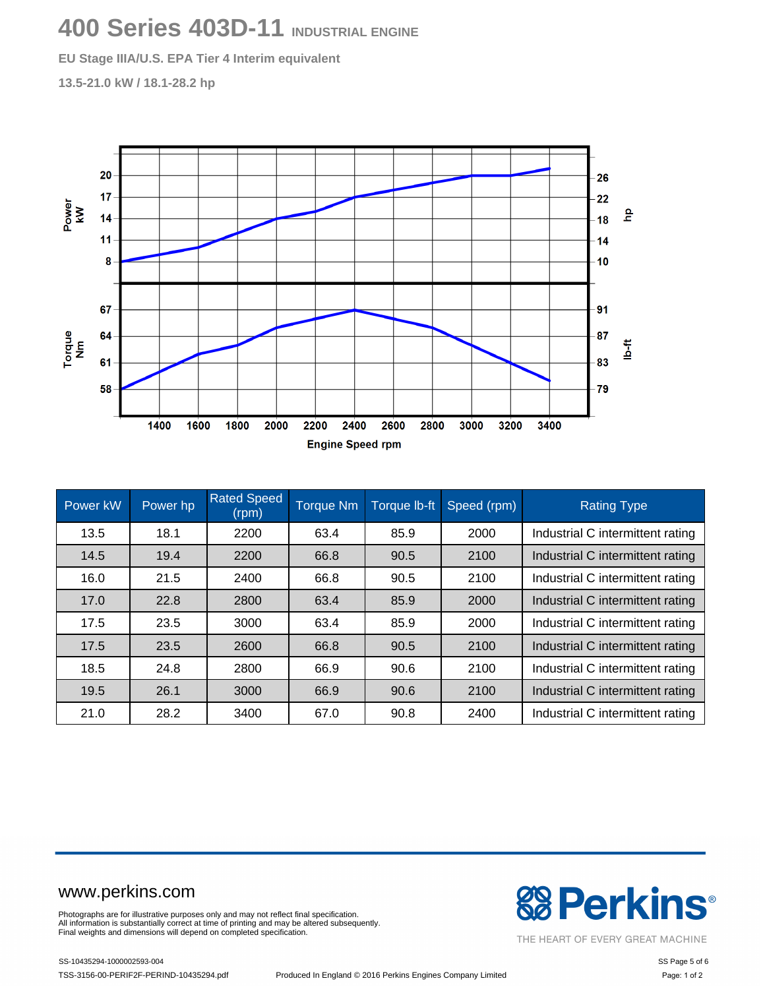# **400 Series 403D-11 INDUSTRIAL ENGINE**

**EU Stage IIIA/U.S. EPA Tier 4 Interim equivalent**

**13.5-21.0 kW / 18.1-28.2 hp**



| Power kW | Power hp | <b>Rated Speed</b><br>(rpm) | <b>Torque Nm</b> | Torque Ib-ft | Speed (rpm) | <b>Rating Type</b>               |
|----------|----------|-----------------------------|------------------|--------------|-------------|----------------------------------|
| 13.5     | 18.1     | 2200                        | 63.4             | 85.9         | 2000        | Industrial C intermittent rating |
| 14.5     | 19.4     | 2200                        | 66.8             | 90.5         | 2100        | Industrial C intermittent rating |
| 16.0     | 21.5     | 2400                        | 66.8             | 90.5         | 2100        | Industrial C intermittent rating |
| 17.0     | 22.8     | 2800                        | 63.4             | 85.9         | 2000        | Industrial C intermittent rating |
| 17.5     | 23.5     | 3000                        | 63.4             | 85.9         | 2000        | Industrial C intermittent rating |
| 17.5     | 23.5     | 2600                        | 66.8             | 90.5         | 2100        | Industrial C intermittent rating |
| 18.5     | 24.8     | 2800                        | 66.9             | 90.6         | 2100        | Industrial C intermittent rating |
| 19.5     | 26.1     | 3000                        | 66.9             | 90.6         | 2100        | Industrial C intermittent rating |
| 21.0     | 28.2     | 3400                        | 67.0             | 90.8         | 2400        | Industrial C intermittent rating |

### www.perkins.com

Photographs are for illustrative purposes only and may not reflect final specification. All information is substantially correct at time of printing and may be altered subsequently. Final weights and dimensions will depend on completed specification.